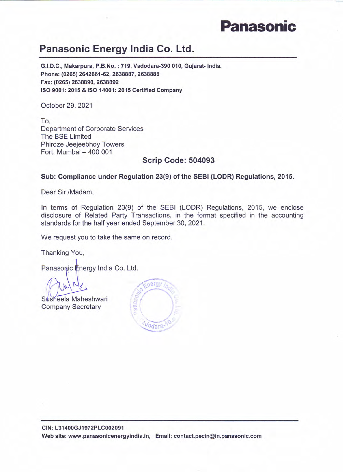## **Panasonic**

## Panasonic Energy India Co. Ltd.

G.I.D.C., Makarpura, P.B.No. : 719, Vadodara-390 010, Gujarat-India. Phone: (0265) 2642661-62, 2638887, 2638888 Fax: (0265)2638890,2638892 ISO 9001: 2015 & ISO 14001: 2015 Certified Company

October 29, 2021

To, Department of Corporate Services The SSE Limited Phiroze Jeejeebhoy Towers Fort, Mumbai - 400 001

## Scrip Code: 504093

## Sub: Compliance under Regulation 23(9) of the SEBI (LODR) Regulations, 2015.

Dear Sir /Madam,

In terms of Regulation 23(9) of the SESI (LODR) Regulations, 2015, we enclose disclosure of Related Party Transactions, in the format specified in the accounting standards for the half year ended September 30, 2021.

We request you to take the same on record.

Thanking You,

Panasonic Energy India Co. Ltd.

 $\overline{A_1}$   $\overline{M_1}$ **UNAMY** *to Ellenard the* Susheela Maheshwari

Company Secretary

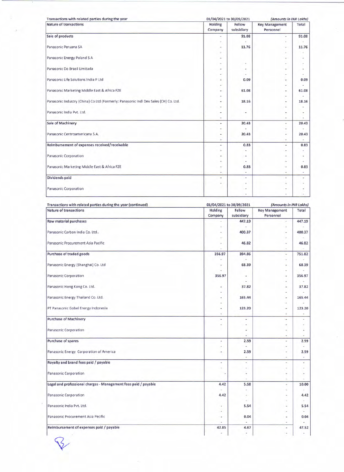| Transactions with related parties during the year                                   | 01/04/2021 to 30/09/2021  |                      | (Amounts in INR Lakhs)             |                          |
|-------------------------------------------------------------------------------------|---------------------------|----------------------|------------------------------------|--------------------------|
| Nature of transactions                                                              | <b>Holding</b><br>Company | Fellow<br>subsidiary | <b>Key Management</b><br>Personnel | Total                    |
| Sale of products                                                                    | ٠                         | 91.08                | ٠                                  | 91.08                    |
|                                                                                     |                           |                      | ٠                                  | $\overline{\phantom{a}}$ |
| Panasonic Peruana SA                                                                |                           | 11.76                | ٠                                  | 11.76                    |
|                                                                                     |                           |                      |                                    |                          |
| Panasonic Energy Poland S A                                                         |                           |                      | ٠                                  | ٠                        |
|                                                                                     |                           | ä                    | ×                                  |                          |
| Panasonic Do Brazil Limitada                                                        |                           | ٠                    | ٠                                  | $\overline{\phantom{a}}$ |
|                                                                                     |                           | ٠                    | $\sim$                             | ٠                        |
| Panasonic Life Solutions India P Ltd                                                |                           | 0.09                 | ٠                                  | 0.09                     |
|                                                                                     |                           |                      | ×                                  |                          |
| Panasonic Marketing Middle East & Africa FZE                                        | ٠                         | 61.08                | ٠                                  | 61.08                    |
|                                                                                     |                           |                      | $\sim$                             |                          |
| Panasonic Industry (China) Co Ltd (Formerly: Panasonic Indl Dev Sales (CH) Co. Ltd. | ٠                         | 18.16                | ۰                                  | 18.16                    |
|                                                                                     | ۰                         |                      | ×                                  |                          |
| Panasonic India Pvt. Ltd.                                                           | ۰                         | ۰                    | $\blacksquare$                     | ٠                        |
|                                                                                     | ٠                         |                      | $\sim$                             |                          |
| Sale of Machinery                                                                   | ٠                         | 20.43                | ٠                                  | 20.43                    |
|                                                                                     |                           |                      |                                    |                          |
| Panasonic Centroamericana S.A.                                                      | ۰                         | 20.43                | $\sim$                             | 20.43                    |
|                                                                                     |                           |                      | ٠                                  |                          |
| Reimbursement of expenses received/receivable                                       | ٠                         | 0.83                 | ۰                                  | 0.83                     |
|                                                                                     |                           |                      |                                    |                          |
| Panasonic Corporation                                                               | ۰                         | ۰                    | -                                  | ٠                        |
|                                                                                     |                           | ٠                    | ٠                                  |                          |
| Panasonic Marketing Middle East & Africa FZE                                        |                           | 0.83                 | $\overline{\phantom{a}}$           | 0.83                     |
|                                                                                     | ٠                         | ٠                    | $\overline{\phantom{a}}$           |                          |
| <b>Dividends paid</b>                                                               | ×                         | ×                    |                                    | ٠                        |
|                                                                                     |                           | ٠                    |                                    | ٠                        |
| Panasonic Corporation                                                               |                           |                      |                                    |                          |
|                                                                                     |                           |                      |                                    | $\sim$                   |

| Transactions with related parties during the year (continued)   | 01/04/2021 to 30/09/2021 |                      | (Amounts in INR Lakhs)             |                          |
|-----------------------------------------------------------------|--------------------------|----------------------|------------------------------------|--------------------------|
| <b>Nature of transactions</b>                                   | Holding<br>Company       | Fellow<br>subsidiary | <b>Key Management</b><br>Personnel | Total                    |
| Raw material purchases                                          |                          | 447.19               | z                                  | 447.19                   |
|                                                                 |                          |                      |                                    |                          |
| Panasonic Carbon India Co. Ltd                                  |                          | 400.37               | ٠                                  | 400.37                   |
|                                                                 |                          |                      |                                    |                          |
| Panasonic Procurement Asia Pacific                              | ٠                        | 46.82                | $\overline{\phantom{a}}$           | 46.82                    |
|                                                                 |                          |                      | i.                                 |                          |
| Purchase of traded goods                                        | 356.97                   | 394.86               | ٠                                  | 751.82                   |
|                                                                 |                          |                      | ×,                                 |                          |
| Panasonic Energy (Shanghai) Co. Ltd                             | ٠                        | 68.39                | $\blacksquare$                     | 68.39                    |
|                                                                 |                          |                      | ٠                                  |                          |
| Panasonic Corporation                                           | 356.97                   | ٠                    | $\blacksquare$                     | 356.97                   |
|                                                                 |                          |                      | ٠                                  |                          |
| Panasonic Hong Kong Co. Ltd.                                    | ۰                        | 37.82                | ۰                                  | 37.82                    |
|                                                                 |                          |                      | ÷                                  |                          |
| Panasonic Energy Thailand Co. Ltd.                              |                          | 165.44               | ٠                                  | 165.44                   |
|                                                                 |                          |                      | z                                  |                          |
| PT Panasonic Gobel Energy Indonesia                             |                          | 123.20               | $\overline{\phantom{a}}$           | 123.20                   |
|                                                                 |                          |                      | $\overline{\phantom{a}}$           | $\overline{\phantom{a}}$ |
| <b>Purchase of Machinery</b>                                    | ٠                        | ä,                   | ٠                                  | ×                        |
|                                                                 |                          | ٠                    | ٠                                  | ÷.                       |
| Panasonic Corporation                                           |                          |                      |                                    |                          |
|                                                                 |                          |                      | ٠                                  |                          |
| Purchase of spares                                              | ٠                        | 2.59                 | ٠                                  | 2.59                     |
|                                                                 | ٠                        | ä,                   | ٠                                  |                          |
| Panasonic Energy Corporation of America                         | ٠                        | 2.59                 |                                    | 2.59                     |
|                                                                 |                          |                      | ٠                                  | ÷                        |
| Royalty and brand fees paid / payable                           | ٠                        | c                    | ×                                  | $\overline{\phantom{a}}$ |
|                                                                 | ÷                        | i.                   |                                    | ×,                       |
| Panasonic Corporation                                           |                          | ۰                    | ٠                                  | $\overline{a}$           |
|                                                                 |                          |                      | $\sim$                             |                          |
| Legal and professional charges - Management fees paid / payable | 4.42                     | 5.58                 | ÷                                  | 10.00                    |
|                                                                 |                          | ٠                    | ٠                                  | ۰                        |
| Panasonic Corporation                                           | 4.42                     | ۰                    | ٠                                  | 4.42                     |
|                                                                 |                          |                      |                                    |                          |
| Panasonic India Pvt. Ltd.                                       | ٠                        | 5.54                 | $\overline{\phantom{a}}$           | 5.54                     |
|                                                                 |                          |                      |                                    |                          |
| Panasonic Procurement Asia Pecific                              | ú.                       | 0.04                 | ٠                                  | 0.04                     |
|                                                                 | ÷                        |                      | ×.                                 |                          |
| Reimbursement of expenses paid / payable                        | 42.85                    | 4.67                 | ۰                                  | 47.52                    |
|                                                                 | ٠                        | ٠                    | $\overline{\phantom{a}}$           | ٠                        |